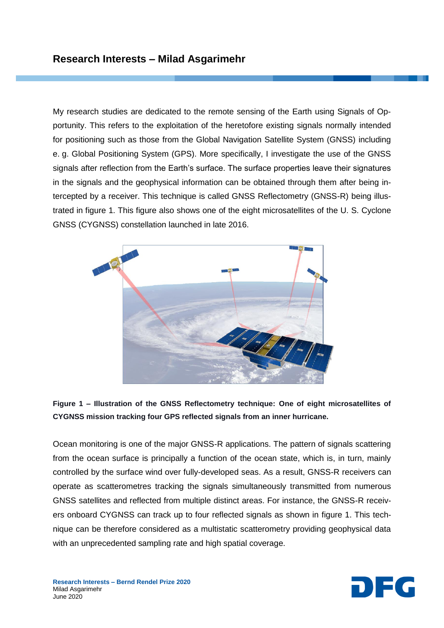My research studies are dedicated to the remote sensing of the Earth using Signals of Opportunity. This refers to the exploitation of the heretofore existing signals normally intended for positioning such as those from the Global Navigation Satellite System (GNSS) including e. g. Global Positioning System (GPS). More specifically, I investigate the use of the GNSS signals after reflection from the Earth's surface. The surface properties leave their signatures in the signals and the geophysical information can be obtained through them after being intercepted by a receiver. This technique is called GNSS Reflectometry (GNSS-R) being illustrated in figure 1. This figure also shows one of the eight microsatellites of the U. S. Cyclone GNSS (CYGNSS) constellation launched in late 2016.



**Figure 1 – Illustration of the GNSS Reflectometry technique: One of eight microsatellites of CYGNSS mission tracking four GPS reflected signals from an inner hurricane.**

Ocean monitoring is one of the major GNSS-R applications. The pattern of signals scattering from the ocean surface is principally a function of the ocean state, which is, in turn, mainly controlled by the surface wind over fully-developed seas. As a result, GNSS-R receivers can operate as scatterometres tracking the signals simultaneously transmitted from numerous GNSS satellites and reflected from multiple distinct areas. For instance, the GNSS-R receivers onboard CYGNSS can track up to four reflected signals as shown in figure 1. This technique can be therefore considered as a multistatic scatterometry providing geophysical data with an unprecedented sampling rate and high spatial coverage.